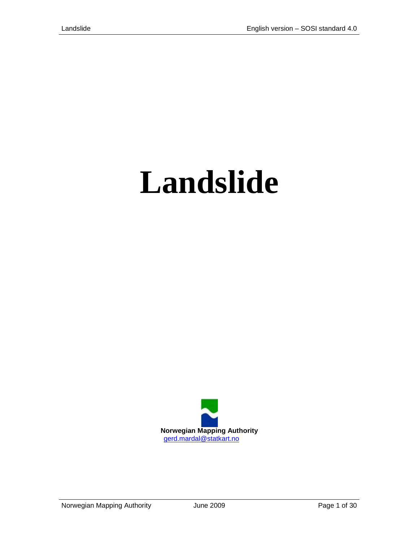# **Landslide**

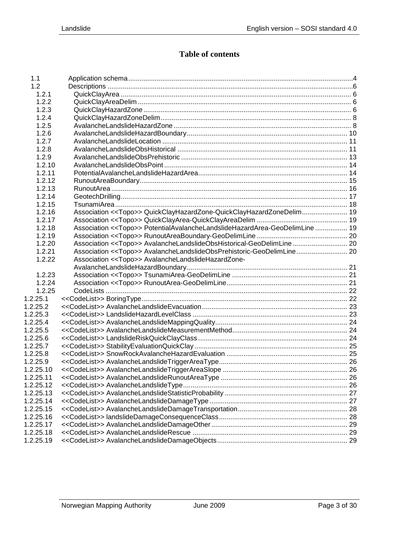# **Table of contents**

| 1.1       |                                                                                  |  |
|-----------|----------------------------------------------------------------------------------|--|
| 1.2       |                                                                                  |  |
| 1.2.1     |                                                                                  |  |
| 1.2.2     |                                                                                  |  |
| 1.2.3     |                                                                                  |  |
| 1.2.4     |                                                                                  |  |
| 1.2.5     |                                                                                  |  |
| 1.2.6     |                                                                                  |  |
| 1.2.7     |                                                                                  |  |
| 1.2.8     |                                                                                  |  |
| 1.2.9     |                                                                                  |  |
| 1.2.10    |                                                                                  |  |
| 1.2.11    |                                                                                  |  |
| 1.2.12    |                                                                                  |  |
| 1.2.13    |                                                                                  |  |
| 1.2.14    |                                                                                  |  |
| 1.2.15    |                                                                                  |  |
| 1.2.16    | Association < <topo>&gt; QuickClayHazardZone-QuickClayHazardZoneDelim 19</topo>  |  |
| 1.2.17    |                                                                                  |  |
| 1.2.18    | Association << Topo>> PotentialAvalancheLandslideHazardArea-GeoDelimLine  19     |  |
| 1.2.19    |                                                                                  |  |
| 1.2.20    | Association << Topo>> AvalancheLandslideObsHistorical-GeoDelimLine 20            |  |
| 1.2.21    | Association < <topo>&gt; AvalancheLandslideObsPrehistoric-GeoDelimLine 20</topo> |  |
| 1.2.22    | Association < <topo>&gt; AvalancheLandslideHazardZone-</topo>                    |  |
|           |                                                                                  |  |
| 1.2.23    |                                                                                  |  |
| 1.2.24    |                                                                                  |  |
| 1.2.25    |                                                                                  |  |
| 1.2.25.1  |                                                                                  |  |
| 1.2.25.2  |                                                                                  |  |
| 1.2.25.3  |                                                                                  |  |
| 1.2.25.4  |                                                                                  |  |
| 1.2.25.5  |                                                                                  |  |
| 1.2.25.6  |                                                                                  |  |
| 1.2.25.7  |                                                                                  |  |
| 1.2.25.8  |                                                                                  |  |
| 1.2.25.9  |                                                                                  |  |
| 1.2.25.10 |                                                                                  |  |
| 1.2.25.11 |                                                                                  |  |
| 1.2.25.12 |                                                                                  |  |
| 1.2.25.13 |                                                                                  |  |
| 1.2.25.14 |                                                                                  |  |
| 1.2.25.15 |                                                                                  |  |
| 1.2.25.16 |                                                                                  |  |
| 1.2.25.17 |                                                                                  |  |
| 1.2.25.18 |                                                                                  |  |
| 1.2.25.19 |                                                                                  |  |
|           |                                                                                  |  |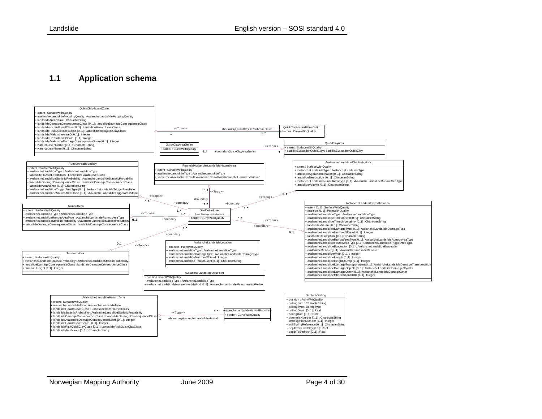#### **1.1 Application schema**

<span id="page-3-0"></span>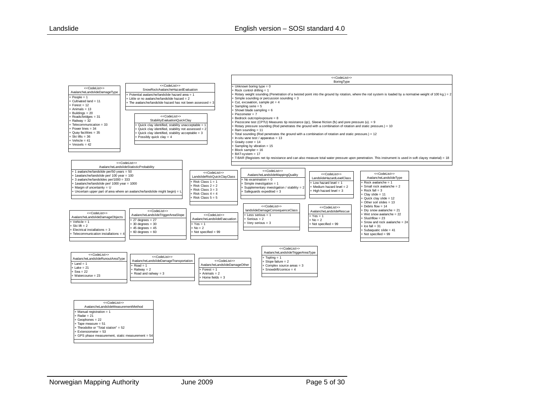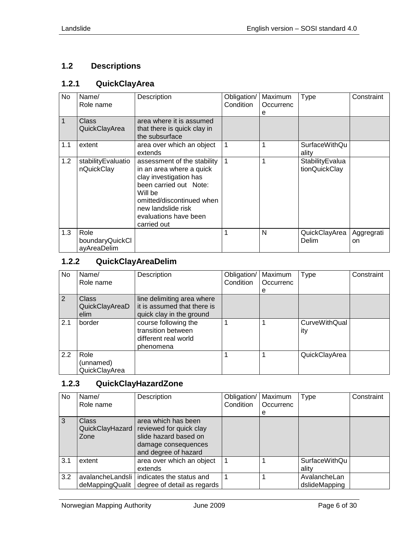# <span id="page-5-0"></span>**1.2 Descriptions**

# <span id="page-5-1"></span>**1.2.1 QuickClayArea**

| No          | Name/<br>Role name                     | Description                                                                                                                                                                                                       | Obligation/<br><b>Condition</b> | Maximum<br>Occurrenc<br>е | <b>Type</b>                      | Constraint       |
|-------------|----------------------------------------|-------------------------------------------------------------------------------------------------------------------------------------------------------------------------------------------------------------------|---------------------------------|---------------------------|----------------------------------|------------------|
| $\mathbf 1$ | <b>Class</b><br>QuickClayArea          | area where it is assumed<br>that there is quick clay in<br>the subsurface                                                                                                                                         |                                 |                           |                                  |                  |
| 1.1         | extent                                 | area over which an object<br>extends                                                                                                                                                                              |                                 |                           | SurfaceWithQu<br>ality           |                  |
| 1.2         | stabilityEvaluatio<br>nQuickClay       | assessment of the stability<br>in an area where a quick<br>clay investigation has<br>been carried out Note:<br>Will be<br>omitted/discontinued when<br>new landslide risk<br>evaluations have been<br>carried out | 1                               |                           | StabilityEvalua<br>tionQuickClay |                  |
| 1.3         | Role<br>boundaryQuickCl<br>ayAreaDelim |                                                                                                                                                                                                                   |                                 | N                         | QuickClayArea<br>Delim           | Aggregrati<br>on |

# <span id="page-5-2"></span>**1.2.2 QuickClayAreaDelim**

| No. | Name/<br>Role name                     | Description                                                                           | Obligation/<br>Condition | Maximum<br>Occurrenc<br>е | <b>Type</b>                 | Constraint |
|-----|----------------------------------------|---------------------------------------------------------------------------------------|--------------------------|---------------------------|-----------------------------|------------|
| 2   | <b>Class</b><br>QuickClayAreaD<br>elim | line delimiting area where<br>it is assumed that there is<br>quick clay in the ground |                          |                           |                             |            |
| 2.1 | border                                 | course following the<br>transition between<br>different real world<br>phenomena       |                          |                           | <b>CurveWithQual</b><br>ity |            |
| 2.2 | Role<br>(unnamed)<br>QuickClayArea     |                                                                                       |                          |                           | QuickClayArea               |            |

# <span id="page-5-3"></span>**1.2.3 QuickClayHazardZone**

| No.           | Name/<br>Role name | Description                 | Obligation/   Maximum<br>Condition | Occurrenc | <b>Type</b>   | Constraint |
|---------------|--------------------|-----------------------------|------------------------------------|-----------|---------------|------------|
|               |                    |                             |                                    | e         |               |            |
| $\mathcal{E}$ | <b>Class</b>       | area which has been         |                                    |           |               |            |
|               | QuickClayHazard    | reviewed for quick clay     |                                    |           |               |            |
|               | Zone               | slide hazard based on       |                                    |           |               |            |
|               |                    | damage consequences         |                                    |           |               |            |
|               |                    | and degree of hazard        |                                    |           |               |            |
| 3.1           | extent             | area over which an object   |                                    |           | SurfaceWithQu |            |
|               |                    | extends                     |                                    |           | ality         |            |
| 3.2           | avalancheLandsli   | indicates the status and    |                                    |           | AvalancheLan  |            |
|               | deMappingQualit    | degree of detail as regards |                                    |           | dslideMapping |            |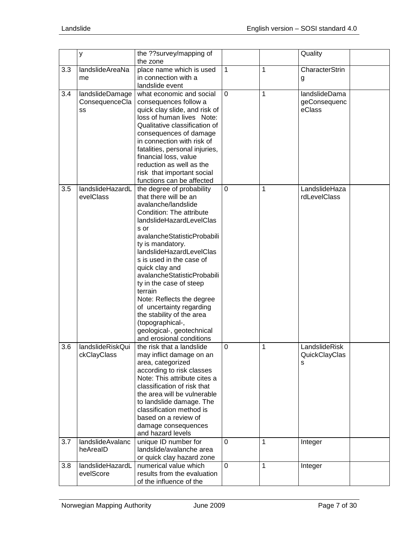|     | у                                       | the ??survey/mapping of<br>the zone                                                                                                                                                                                                                                                                                                                                                                                                                                                                            |                |   | Quality                                 |
|-----|-----------------------------------------|----------------------------------------------------------------------------------------------------------------------------------------------------------------------------------------------------------------------------------------------------------------------------------------------------------------------------------------------------------------------------------------------------------------------------------------------------------------------------------------------------------------|----------------|---|-----------------------------------------|
| 3.3 | landslideAreaNa<br>me                   | place name which is used<br>in connection with a<br>landslide event                                                                                                                                                                                                                                                                                                                                                                                                                                            | 1              | 1 | CharacterStrin<br>g                     |
| 3.4 | landslideDamage<br>ConsequenceCla<br>SS | what economic and social<br>consequences follow a<br>quick clay slide, and risk of<br>loss of human lives Note:<br>Qualitative classification of<br>consequences of damage<br>in connection with risk of<br>fatalities, personal injuries,<br>financial loss, value<br>reduction as well as the<br>risk that important social<br>functions can be affected                                                                                                                                                     | $\overline{0}$ | 1 | landslideDama<br>geConsequenc<br>eClass |
| 3.5 | landslideHazardL<br>evelClass           | the degree of probability<br>that there will be an<br>avalanche/landslide<br>Condition: The attribute<br>landslideHazardLevelClas<br>s or<br>avalancheStatisticProbabili<br>ty is mandatory.<br>landslideHazardLevelClas<br>s is used in the case of<br>quick clay and<br>avalancheStatisticProbabili<br>ty in the case of steep<br>terrain<br>Note: Reflects the degree<br>of uncertainty regarding<br>the stability of the area<br>(topographical-,<br>geological-, geotechnical<br>and erosional conditions | 0              | 1 | LandslideHaza<br>rdLevelClass           |
| 3.6 | landslideRiskQui<br>ckClayClass         | the risk that a landslide<br>may inflict damage on an<br>area, categorized<br>according to risk classes<br>Note: This attribute cites a<br>classification of risk that<br>the area will be vulnerable<br>to landslide damage. The<br>classification method is<br>based on a review of<br>damage consequences<br>and hazard levels                                                                                                                                                                              | 0              | 1 | LandslideRisk<br>QuickClayClas<br>s     |
| 3.7 | landslideAvalanc<br>heArealD            | unique ID number for<br>landslide/avalanche area<br>or quick clay hazard zone                                                                                                                                                                                                                                                                                                                                                                                                                                  | $\mathbf 0$    | 1 | Integer                                 |
| 3.8 | landslideHazardL<br>evelScore           | numerical value which<br>results from the evaluation<br>of the influence of the                                                                                                                                                                                                                                                                                                                                                                                                                                | $\mathbf 0$    | 1 | Integer                                 |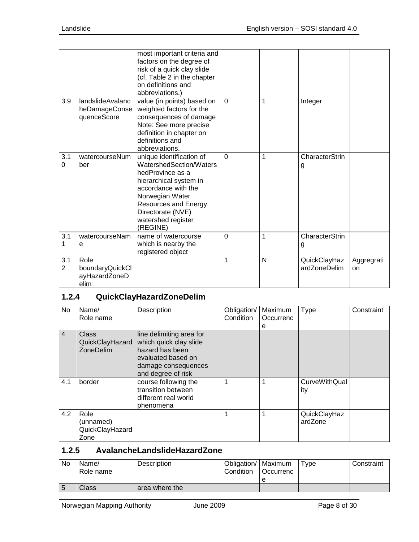|                       |                                                  | most important criteria and<br>factors on the degree of<br>risk of a quick clay slide<br>(cf. Table 2 in the chapter<br>on definitions and<br>abbreviations.)                                                              |                |   |                              |                  |
|-----------------------|--------------------------------------------------|----------------------------------------------------------------------------------------------------------------------------------------------------------------------------------------------------------------------------|----------------|---|------------------------------|------------------|
| 3.9                   | landslideAvalanc<br>heDamageConse<br>quenceScore | value (in points) based on<br>weighted factors for the<br>consequences of damage<br>Note: See more precise<br>definition in chapter on<br>definitions and<br>abbreviations.                                                | $\Omega$       | 1 | Integer                      |                  |
| 3.1<br>0              | watercourseNum<br>ber                            | unique identification of<br>WatershedSection/Waters<br>hedProvince as a<br>hierarchical system in<br>accordance with the<br>Norwegian Water<br>Resources and Energy<br>Directorate (NVE)<br>watershed register<br>(REGINE) | $\overline{0}$ | 1 | CharacterStrin<br>g          |                  |
| $\overline{3.1}$<br>1 | watercourseNam<br>е                              | name of watercourse<br>which is nearby the<br>registered object                                                                                                                                                            | $\Omega$       | 1 | CharacterStrin<br>g          |                  |
| 3.1<br>$\overline{2}$ | Role<br>boundaryQuickCl<br>ayHazardZoneD<br>elim |                                                                                                                                                                                                                            | 1              | N | QuickClayHaz<br>ardZoneDelim | Aggregrati<br>on |

# <span id="page-7-0"></span>**1.2.4 QuickClayHazardZoneDelim**

| <b>No</b>      | Name/<br>Role name                                  | Description                                                                                                                              | Obligation/<br>Condition | Maximum<br>Occurrenc | Type                        | Constraint |
|----------------|-----------------------------------------------------|------------------------------------------------------------------------------------------------------------------------------------------|--------------------------|----------------------|-----------------------------|------------|
|                |                                                     |                                                                                                                                          |                          | е                    |                             |            |
| $\overline{4}$ | <b>Class</b><br>QuickClayHazard<br><b>ZoneDelim</b> | line delimiting area for<br>which quick clay slide<br>hazard has been<br>evaluated based on<br>damage consequences<br>and degree of risk |                          |                      |                             |            |
| 4.1            | border                                              | course following the<br>transition between<br>different real world<br>phenomena                                                          |                          |                      | <b>CurveWithQual</b><br>ity |            |
| 4.2            | Role<br>(unnamed)<br>QuickClayHazard<br>Zone        |                                                                                                                                          |                          |                      | QuickClayHaz<br>ardZone     |            |

## <span id="page-7-1"></span>**1.2.5 AvalancheLandslideHazardZone**

| No | Name/<br>Role name | <b>Description</b> | Obligation/   Maximum<br>Condition | l Occurrenc | Tvpe | Constraint |
|----|--------------------|--------------------|------------------------------------|-------------|------|------------|
|    |                    |                    |                                    |             |      |            |
| 5  | <b>Class</b>       | area where the     |                                    |             |      |            |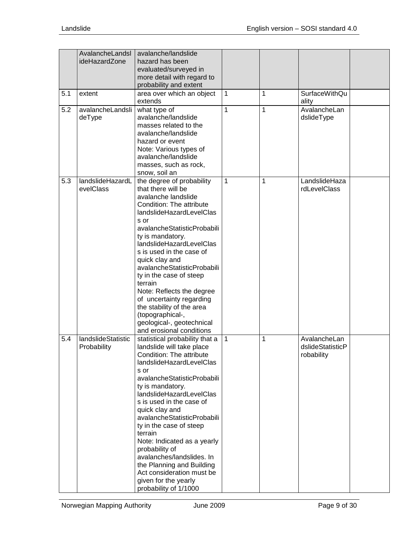| 5.1 | AvalancheLandsl<br>ideHazardZone<br>extent | avalanche/landslide<br>hazard has been<br>evaluated/surveyed in<br>more detail with regard to<br>probability and extent<br>area over which an object                                                                                                                                                                                                                                                                                                                                                                   | 1            | 1 | <b>SurfaceWithQu</b>                           |  |
|-----|--------------------------------------------|------------------------------------------------------------------------------------------------------------------------------------------------------------------------------------------------------------------------------------------------------------------------------------------------------------------------------------------------------------------------------------------------------------------------------------------------------------------------------------------------------------------------|--------------|---|------------------------------------------------|--|
| 5.2 | avalancheLandsli<br>deType                 | extends<br>what type of<br>avalanche/landslide<br>masses related to the<br>avalanche/landslide<br>hazard or event<br>Note: Various types of<br>avalanche/landslide<br>masses, such as rock,<br>snow, soil an                                                                                                                                                                                                                                                                                                           | 1            | 1 | ality<br>AvalancheLan<br>dslideType            |  |
| 5.3 | landslideHazardL<br>evelClass              | the degree of probability<br>that there will be<br>avalanche landslide<br>Condition: The attribute<br>landslideHazardLevelClas<br>s or<br>avalancheStatisticProbabili<br>ty is mandatory.<br>landslideHazardLevelClas<br>s is used in the case of<br>quick clay and<br>avalancheStatisticProbabili<br>ty in the case of steep<br>terrain<br>Note: Reflects the degree<br>of uncertainty regarding<br>the stability of the area<br>(topographical-,<br>geological-, geotechnical<br>and erosional conditions            | $\mathbf{1}$ | 1 | LandslideHaza<br>rdLevelClass                  |  |
| 5.4 | landslideStatistic<br>Probability          | statistical probability that a<br>landslide will take place<br>Condition: The attribute<br>landslideHazardLevelClas<br>s or<br>avalancheStatisticProbabili<br>ty is mandatory.<br>landslideHazardLevelClas<br>s is used in the case of<br>quick clay and<br>avalancheStatisticProbabili<br>ty in the case of steep<br>terrain<br>Note: Indicated as a yearly<br>probability of<br>avalanches/landslides. In<br>the Planning and Building<br>Act consideration must be<br>given for the yearly<br>probability of 1/1000 | 1            | 1 | AvalancheLan<br>dslideStatisticP<br>robability |  |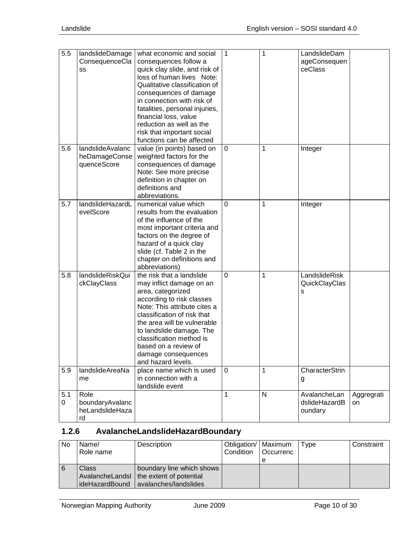| 5.5      | landslideDamage<br>ConsequenceCla<br>SS          | what economic and social<br>consequences follow a<br>quick clay slide, and risk of<br>loss of human lives Note:<br>Qualitative classification of<br>consequences of damage<br>in connection with risk of<br>fatalities, personal injuries,<br>financial loss, value<br>reduction as well as the<br>risk that important social<br>functions can be affected | 1           | 1            | LandslideDam<br>ageConsequen<br>ceClass  |                  |
|----------|--------------------------------------------------|------------------------------------------------------------------------------------------------------------------------------------------------------------------------------------------------------------------------------------------------------------------------------------------------------------------------------------------------------------|-------------|--------------|------------------------------------------|------------------|
| 5.6      | landslideAvalanc<br>heDamageConse<br>quenceScore | value (in points) based on<br>weighted factors for the<br>consequences of damage<br>Note: See more precise<br>definition in chapter on<br>definitions and<br>abbreviations.                                                                                                                                                                                | $\mathbf 0$ | 1            | Integer                                  |                  |
| 5.7      | landslideHazardL<br>evelScore                    | numerical value which<br>results from the evaluation<br>of the influence of the<br>most important criteria and<br>factors on the degree of<br>hazard of a quick clay<br>slide (cf. Table 2 in the<br>chapter on definitions and<br>abbreviations)                                                                                                          | 0           | 1            | Integer                                  |                  |
| 5.8      | landslideRiskQui<br>ckClayClass                  | the risk that a landslide<br>may inflict damage on an<br>area, categorized<br>according to risk classes<br>Note: This attribute cites a<br>classification of risk that<br>the area will be vulnerable<br>to landslide damage. The<br>classification method is<br>based on a review of<br>damage consequences<br>and hazard levels.                         | 0           | 1            | LandslideRisk<br>QuickClayClas<br>s      |                  |
| 5.9      | landslideAreaNa<br>me                            | place name which is used<br>in connection with a<br>landslide event                                                                                                                                                                                                                                                                                        | $\mathbf 0$ | 1            | CharacterStrin<br>g                      |                  |
| 5.1<br>0 | Role<br>boundaryAvalanc<br>heLandslideHaza<br>rd |                                                                                                                                                                                                                                                                                                                                                            | 1           | $\mathsf{N}$ | AvalancheLan<br>dslideHazardB<br>oundary | Aggregrati<br>on |

# <span id="page-9-0"></span>**1.2.6 AvalancheLandslideHazardBoundary**

| No  | Name/<br>Role name | Description                                                                                                      | Obligation/   Maximum<br>Condition   Occurrenc | Type | Constraint |
|-----|--------------------|------------------------------------------------------------------------------------------------------------------|------------------------------------------------|------|------------|
| l 6 | <b>Class</b>       | boundary line which shows<br>AvalancheLandsl   the extent of potential<br>ideHazardBound   avalanches/landslides |                                                |      |            |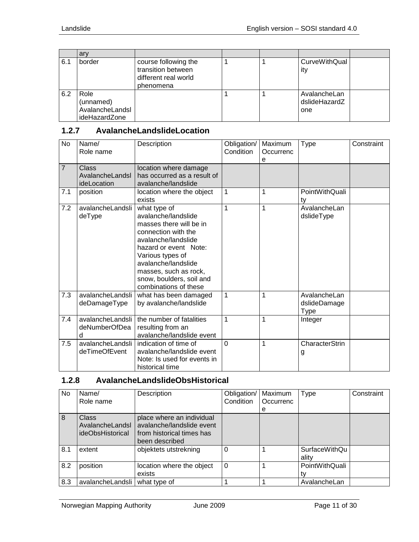|     | ary                                                   |                                                                                 |  |                                      |  |
|-----|-------------------------------------------------------|---------------------------------------------------------------------------------|--|--------------------------------------|--|
| 6.1 | border                                                | course following the<br>transition between<br>different real world<br>phenomena |  | CurveWithQual<br>ity                 |  |
| 6.2 | Role<br>(unnamed)<br>AvalancheLandsl<br>ideHazardZone |                                                                                 |  | AvalancheLan<br>dslideHazardZ<br>one |  |

## <span id="page-10-0"></span>**1.2.7 AvalancheLandslideLocation**

| <b>No</b>      | Name/<br>Role name                      | Description                                                                                                                                                                                                                                                    | Obligation/<br>Condition | Maximum<br>Occurrenc<br>e | <b>Type</b>                          | Constraint |
|----------------|-----------------------------------------|----------------------------------------------------------------------------------------------------------------------------------------------------------------------------------------------------------------------------------------------------------------|--------------------------|---------------------------|--------------------------------------|------------|
| $\overline{7}$ | Class<br>AvalancheLandsl<br>ideLocation | location where damage<br>has occurred as a result of<br>avalanche/landslide                                                                                                                                                                                    |                          |                           |                                      |            |
| 7.1            | position                                | location where the object<br>exists                                                                                                                                                                                                                            | 1                        | 1                         | PointWithQuali<br>ty                 |            |
| 7.2            | avalancheLandsli<br>deType              | what type of<br>avalanche/landslide<br>masses there will be in<br>connection with the<br>avalanche/landslide<br>hazard or event Note:<br>Various types of<br>avalanche/landslide<br>masses, such as rock,<br>snow, boulders, soil and<br>combinations of these | 1                        | 1                         | AvalancheLan<br>dslideType           |            |
| 7.3            | avalancheLandsli<br>deDamageType        | what has been damaged<br>by avalanche/landslide                                                                                                                                                                                                                | $\mathbf 1$              | 1                         | AvalancheLan<br>dslideDamage<br>Type |            |
| 7.4            | avalancheLandsli<br>deNumberOfDea<br>d  | the number of fatalities<br>resulting from an<br>avalanche/landslide event                                                                                                                                                                                     | $\mathbf{1}$             | 1                         | Integer                              |            |
| 7.5            | avalancheLandsli<br>deTimeOfEvent       | indication of time of<br>avalanche/landslide event<br>Note: Is used for events in<br>historical time                                                                                                                                                           | $\Omega$                 | 1                         | CharacterStrin<br>g                  |            |

# <span id="page-10-1"></span>**1.2.8 AvalancheLandslideObsHistorical**

| No  | Name/<br>Role name                                  | Description                                                                                           | Obligation/<br>Condition | Maximum<br>Occurrenc | Type                          | Constraint |
|-----|-----------------------------------------------------|-------------------------------------------------------------------------------------------------------|--------------------------|----------------------|-------------------------------|------------|
|     |                                                     |                                                                                                       |                          | e                    |                               |            |
| 8   | <b>Class</b><br>AvalancheLandsl<br>ideObsHistorical | place where an individual<br>avalanche/landslide event<br>from historical times has<br>been described |                          |                      |                               |            |
| 8.1 | extent                                              | objektets utstrekning                                                                                 | 0                        |                      | <b>SurfaceWithQu</b><br>ality |            |
| 8.2 | position                                            | location where the object<br>exists                                                                   | $\Omega$                 |                      | PointWithQuali<br>tv          |            |
| 8.3 | avalancheLandsli                                    | what type of                                                                                          |                          |                      | AvalancheLan                  |            |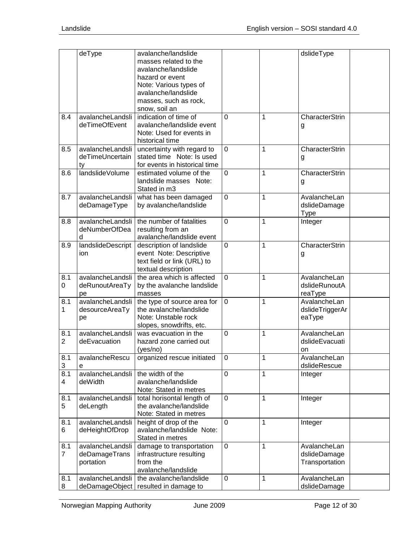|                       | deType                                         | avalanche/landslide<br>masses related to the<br>avalanche/landslide<br>hazard or event<br>Note: Various types of<br>avalanche/landslide<br>masses, such as rock,<br>snow, soil an |                |   | dslideType                                     |
|-----------------------|------------------------------------------------|-----------------------------------------------------------------------------------------------------------------------------------------------------------------------------------|----------------|---|------------------------------------------------|
| 8.4                   | avalancheLandsli<br>deTimeOfEvent              | indication of time of<br>avalanche/landslide event<br>Note: Used for events in<br>historical time                                                                                 | 0              | 1 | CharacterStrin<br>g                            |
| 8.5                   | avalancheLandsli<br>deTimeUncertain<br>tv      | uncertainty with regard to<br>stated time Note: Is used<br>for events in historical time                                                                                          | 0              | 1 | CharacterStrin<br>g                            |
| 8.6                   | landslideVolume                                | estimated volume of the<br>landslide masses Note:<br>Stated in m3                                                                                                                 | 0              | 1 | CharacterStrin<br>g                            |
| 8.7                   | avalancheLandsli<br>deDamageType               | what has been damaged<br>by avalanche/landslide                                                                                                                                   | $\mathbf 0$    | 1 | AvalancheLan<br>dslideDamage<br>Type           |
| 8.8                   | avalancheLandsli<br>deNumberOfDea<br>d         | the number of fatalities<br>resulting from an<br>avalanche/landslide event                                                                                                        | $\overline{0}$ | 1 | Integer                                        |
| 8.9                   | landslideDescript<br>ion                       | description of landslide<br>event Note: Descriptive<br>text field or link (URL) to<br>textual description                                                                         | $\mathbf 0$    | 1 | CharacterStrin<br>g                            |
| 8.1<br>0              | avalancheLandsli<br>deRunoutAreaTy<br>pe       | the area which is affected<br>by the avalanche landslide<br>masses                                                                                                                | 0              | 1 | AvalancheLan<br>dslideRunoutA<br>reaType       |
| 8.1<br>1              | avalancheLandsli<br>desourceAreaTy<br>pe       | the type of source area for<br>the avalanche/landslide<br>Note: Unstable rock<br>slopes, snowdrifts, etc.                                                                         | 0              | 1 | AvalancheLan<br>dslideTriggerAr<br>eaType      |
| 8.1<br>$\overline{2}$ | avalancheLandsli<br>deEvacuation               | was evacuation in the<br>hazard zone carried out<br>(yes/no)                                                                                                                      | $\Omega$       | 1 | AvalancheLan<br>dslideEvacuati<br>on           |
| 8.1<br>3              | avalancheRescu<br>e                            | organized rescue initiated                                                                                                                                                        | 0              | 1 | AvalancheLan<br>dslideRescue                   |
| 8.1<br>4              | avalancheLandsli<br>deWidth                    | the width of the<br>avalanche/landslide<br>Note: Stated in metres                                                                                                                 | 0              | 1 | Integer                                        |
| 8.1<br>5              | avalancheLandsli<br>deLength                   | total horisontal length of<br>the avalanche/landslide<br>Note: Stated in metres                                                                                                   | $\mathbf 0$    | 1 | Integer                                        |
| 8.1<br>6              | avalancheLandsli<br>deHeightOfDrop             | height of drop of the<br>avalanche/landslide Note:<br>Stated in metres                                                                                                            | 0              | 1 | Integer                                        |
| 8.1<br>7              | avalancheLandsli<br>deDamageTrans<br>portation | damage to transportation<br>infrastructure resulting<br>from the<br>avalanche/landslide                                                                                           | 0              | 1 | AvalancheLan<br>dslideDamage<br>Transportation |
| 8.1<br>8              | avalancheLandsli<br>deDamageObject             | the avalanche/landslide<br>resulted in damage to                                                                                                                                  | 0              | 1 | AvalancheLan<br>dslideDamage                   |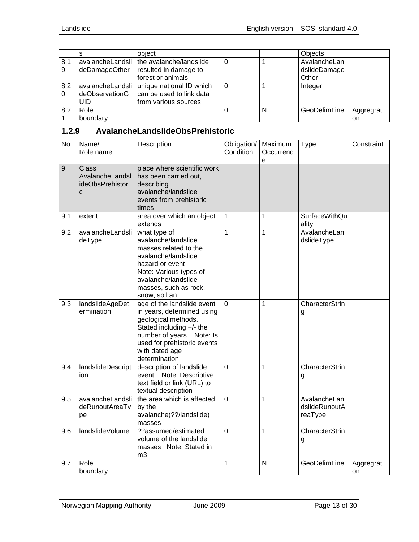|          |                       | object                                                                                          |   | Objects                               |                         |
|----------|-----------------------|-------------------------------------------------------------------------------------------------|---|---------------------------------------|-------------------------|
| 8.1<br>9 | deDamageOther         | avalancheLandsli   the avalanche/landslide<br>resulted in damage to<br>forest or animals        |   | AvalancheLan<br>dslideDamage<br>Other |                         |
| 8.2<br>0 | deObservationG<br>UID | avalancheLandsli   unique national ID which<br>can be used to link data<br>from various sources |   | Integer                               |                         |
| 8.2      | Role<br>boundary      |                                                                                                 | N | GeoDelimLine                          | Aggregrati<br><b>on</b> |

## <span id="page-12-0"></span>**1.2.9 AvalancheLandslideObsPrehistoric**

| $\overline{N}$ | Name/<br>Role name                                       | Description                                                                                                                                                                                               | Obligation/<br>Condition | Maximum<br>Occurrenc<br>e | <b>Type</b>                              | Constraint       |
|----------------|----------------------------------------------------------|-----------------------------------------------------------------------------------------------------------------------------------------------------------------------------------------------------------|--------------------------|---------------------------|------------------------------------------|------------------|
| 9              | <b>Class</b><br>AvalancheLandsl<br>ideObsPrehistori<br>C | place where scientific work<br>has been carried out,<br>describing<br>avalanche/landslide<br>events from prehistoric<br>times                                                                             |                          |                           |                                          |                  |
| 9.1            | extent                                                   | area over which an object<br>extends                                                                                                                                                                      | $\mathbf{1}$             | $\mathbf{1}$              | <b>SurfaceWithQu</b><br>ality            |                  |
| 9.2            | avalancheLandsli<br>deType                               | what type of<br>avalanche/landslide<br>masses related to the<br>avalanche/landslide<br>hazard or event<br>Note: Various types of<br>avalanche/landslide<br>masses, such as rock,<br>snow, soil an         | $\mathbf{1}$             | $\mathbf{1}$              | AvalancheLan<br>dslideType               |                  |
| 9.3            | landslideAgeDet<br>ermination                            | age of the landslide event<br>in years, determined using<br>geological methods.<br>Stated including +/- the<br>number of years Note: Is<br>used for prehistoric events<br>with dated age<br>determination | $\overline{0}$           | $\overline{1}$            | CharacterStrin<br>g                      |                  |
| 9.4            | landslideDescript<br>ion                                 | description of landslide<br>event Note: Descriptive<br>text field or link (URL) to<br>textual description                                                                                                 | $\overline{0}$           | 1                         | CharacterStrin<br>g                      |                  |
| 9.5            | avalancheLandsli<br>deRunoutAreaTy<br>pe                 | the area which is affected<br>by the<br>avalanche(??/landslide)<br>masses                                                                                                                                 | $\overline{0}$           | $\overline{1}$            | AvalancheLan<br>dslideRunoutA<br>reaType |                  |
| 9.6            | landslideVolume                                          | ??assumed/estimated<br>volume of the landslide<br>masses Note: Stated in<br>m <sub>3</sub>                                                                                                                | $\overline{0}$           | $\mathbf 1$               | CharacterStrin<br>g                      |                  |
| 9.7            | Role<br>boundary                                         |                                                                                                                                                                                                           | $\mathbf{1}$             | N                         | GeoDelimLine                             | Aggregrati<br>on |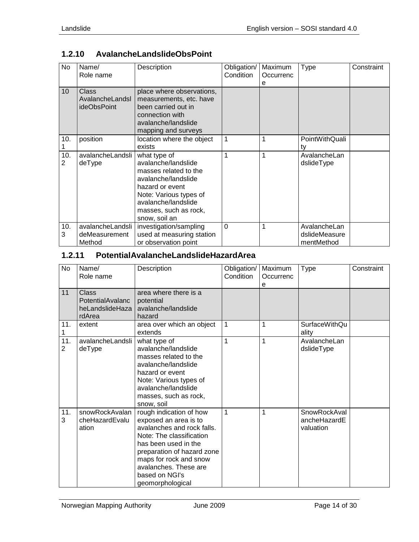| No                    | Name/<br>Role name                             | Description                                                                                                                                                                                       | Obligation/<br>Condition | Maximum<br>Occurrenc<br>е | Type                                        | Constraint |
|-----------------------|------------------------------------------------|---------------------------------------------------------------------------------------------------------------------------------------------------------------------------------------------------|--------------------------|---------------------------|---------------------------------------------|------------|
| 10                    | <b>Class</b><br>AvalancheLandsl<br>ideObsPoint | place where observations,<br>measurements, etc. have<br>been carried out in<br>connection with<br>avalanche/landslide<br>mapping and surveys                                                      |                          |                           |                                             |            |
| 10.                   | position                                       | location where the object<br>exists                                                                                                                                                               | 1                        | 1                         | PointWithQuali<br>ty                        |            |
| 10.<br>$\overline{2}$ | avalancheLandsli<br>deType                     | what type of<br>avalanche/landslide<br>masses related to the<br>avalanche/landslide<br>hazard or event<br>Note: Various types of<br>avalanche/landslide<br>masses, such as rock,<br>snow, soil an | 1                        | 1                         | AvalancheLan<br>dslideType                  |            |
| 10.<br>3              | avalancheLandsli<br>deMeasurement<br>Method    | investigation/sampling<br>used at measuring station<br>or observation point                                                                                                                       | $\Omega$                 | 1                         | AvalancheLan<br>dslideMeasure<br>mentMethod |            |

# <span id="page-13-0"></span>**1.2.10 AvalancheLandslideObsPoint**

## <span id="page-13-1"></span>**1.2.11 PotentialAvalancheLandslideHazardArea**

| No       | Name/<br>Role name                                            | Description                                                                                                                                                                                                                                               | Obligation/<br>Condition | Maximum<br>Occurrenc<br>e | <b>Type</b>                               | Constraint |
|----------|---------------------------------------------------------------|-----------------------------------------------------------------------------------------------------------------------------------------------------------------------------------------------------------------------------------------------------------|--------------------------|---------------------------|-------------------------------------------|------------|
| 11       | <b>Class</b><br>PotentialAvalanc<br>heLandslideHaza<br>rdArea | area where there is a<br>potential<br>avalanche/landslide<br>hazard                                                                                                                                                                                       |                          |                           |                                           |            |
| 11.      | extent                                                        | area over which an object<br>extends                                                                                                                                                                                                                      | 1                        | 1                         | <b>SurfaceWithQu</b><br>ality             |            |
| 11.<br>2 | avalancheLandsli<br>deType                                    | what type of<br>avalanche/landslide<br>masses related to the<br>avalanche/landslide<br>hazard or event<br>Note: Various types of<br>avalanche/landslide<br>masses, such as rock,<br>snow, soil                                                            | 1                        | 1                         | AvalancheLan<br>dslideType                |            |
| 11.<br>3 | snowRockAvalan<br>cheHazardEvalu<br>ation                     | rough indication of how<br>exposed an area is to<br>avalanches and rock falls.<br>Note: The classification<br>has been used in the<br>preparation of hazard zone<br>maps for rock and snow<br>avalanches. These are<br>based on NGI's<br>geomorphological | 1                        | 1                         | SnowRockAval<br>ancheHazardE<br>valuation |            |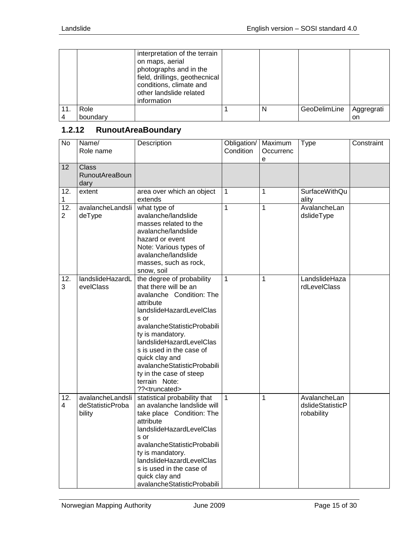|     |          | interpretation of the terrain<br>on maps, aerial<br>photographs and in the<br>field, drillings, geothecnical<br>conditions, climate and<br>other landslide related<br>information |   |              |            |
|-----|----------|-----------------------------------------------------------------------------------------------------------------------------------------------------------------------------------|---|--------------|------------|
| 11. | Role     |                                                                                                                                                                                   | N | GeoDelimLine | Aggregrati |
|     | boundary |                                                                                                                                                                                   |   |              | on         |

# <span id="page-14-0"></span>**1.2.12 RunoutAreaBoundary**

| $\overline{N}$                      | Name/<br>Role name                             | Description                                                                                                                                                                                                                                                                                                                                                           | Obligation/<br>Condition | Maximum<br>Occurrenc<br>e | <b>Type</b>                                    | Constraint |
|-------------------------------------|------------------------------------------------|-----------------------------------------------------------------------------------------------------------------------------------------------------------------------------------------------------------------------------------------------------------------------------------------------------------------------------------------------------------------------|--------------------------|---------------------------|------------------------------------------------|------------|
| 12                                  | <b>Class</b><br><b>RunoutAreaBoun</b><br>dary  |                                                                                                                                                                                                                                                                                                                                                                       |                          |                           |                                                |            |
| 12.<br>1                            | extent                                         | area over which an object<br>extends                                                                                                                                                                                                                                                                                                                                  | $\mathbf{1}$             | $\mathbf{1}$              | SurfaceWithQu<br>ality                         |            |
| $\overline{12}$ .<br>$\overline{2}$ | avalancheLandsli<br>deType                     | what type of<br>avalanche/landslide<br>masses related to the<br>avalanche/landslide<br>hazard or event<br>Note: Various types of<br>avalanche/landslide<br>masses, such as rock,<br>snow, soil                                                                                                                                                                        | 1                        | 1                         | AvalancheLan<br>dslideType                     |            |
| 12.<br>3                            | landslideHazardL<br>evelClass                  | the degree of probability<br>that there will be an<br>avalanche Condition: The<br>attribute<br>landslideHazardLevelClas<br>s or<br>avalancheStatisticProbabili<br>ty is mandatory.<br>landslideHazardLevelClas<br>s is used in the case of<br>quick clay and<br>avalancheStatisticProbabili<br>ty in the case of steep<br>terrain Note:<br>?? <truncated></truncated> | 1                        | 1                         | LandslideHaza<br>rdLevelClass                  |            |
| 12.<br>4                            | avalancheLandsli<br>deStatisticProba<br>bility | statistical probability that<br>an avalanche landslide will<br>take place Condition: The<br>attribute<br>landslideHazardLevelClas<br>s or<br>avalancheStatisticProbabili<br>ty is mandatory.<br>landslideHazardLevelClas<br>s is used in the case of<br>quick clay and<br>avalancheStatisticProbabili                                                                 | $\mathbf{1}$             | $\mathbf{1}$              | AvalancheLan<br>dslideStatisticP<br>robability |            |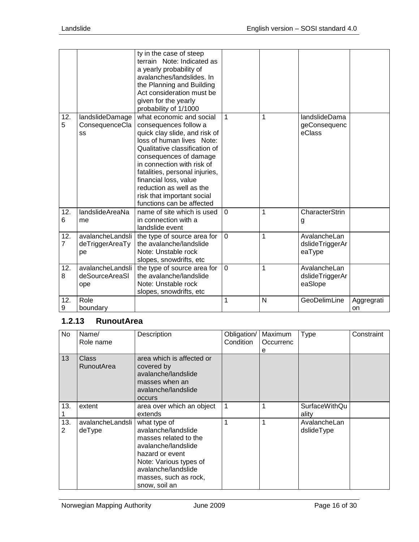|                       |                                           | ty in the case of steep<br>terrain Note: Indicated as<br>a yearly probability of<br>avalanches/landslides. In<br>the Planning and Building<br>Act consideration must be<br>given for the yearly<br>probability of 1/1000                                                                                                                                   |          |   |                                            |                  |
|-----------------------|-------------------------------------------|------------------------------------------------------------------------------------------------------------------------------------------------------------------------------------------------------------------------------------------------------------------------------------------------------------------------------------------------------------|----------|---|--------------------------------------------|------------------|
| 12.<br>5              | landslideDamage<br>ConsequenceCla<br>SS   | what economic and social<br>consequences follow a<br>quick clay slide, and risk of<br>loss of human lives Note:<br>Qualitative classification of<br>consequences of damage<br>in connection with risk of<br>fatalities, personal injuries,<br>financial loss, value<br>reduction as well as the<br>risk that important social<br>functions can be affected | 1        | 1 | landslideDama<br>geConsequenc<br>eClass    |                  |
| 12.<br>6              | landslideAreaNa<br>me                     | name of site which is used<br>in connection with a<br>landslide event                                                                                                                                                                                                                                                                                      | $\Omega$ | 1 | CharacterStrin<br>g                        |                  |
| 12.<br>$\overline{7}$ | avalancheLandsli<br>deTriggerAreaTy<br>рe | the type of source area for<br>the avalanche/landslide<br>Note: Unstable rock<br>slopes, snowdrifts, etc                                                                                                                                                                                                                                                   | 0        | 1 | AvalancheLan<br>dslideTriggerAr<br>eaType  |                  |
| 12.<br>8              | avalancheLandsli<br>deSourceAreaSI<br>ope | the type of source area for<br>the avalanche/landslide<br>Note: Unstable rock<br>slopes, snowdrifts, etc                                                                                                                                                                                                                                                   | 0        | 1 | AvalancheLan<br>dslideTriggerAr<br>eaSlope |                  |
| 12.<br>9              | Role<br>boundary                          |                                                                                                                                                                                                                                                                                                                                                            | 1        | N | GeoDelimLine                               | Aggregrati<br>on |

## <span id="page-15-0"></span>**1.2.13 RunoutArea**

| No.      | Name/<br>Role name         | Description                                                                                                                                                                                       | Obligation/<br>Condition | Maximum<br>Occurrenc<br>е | Type                          | Constraint |
|----------|----------------------------|---------------------------------------------------------------------------------------------------------------------------------------------------------------------------------------------------|--------------------------|---------------------------|-------------------------------|------------|
| 13       | Class<br>RunoutArea        | area which is affected or<br>covered by<br>avalanche/landslide<br>masses when an<br>avalanche/landslide<br>occurs                                                                                 |                          |                           |                               |            |
| 13.      | extent                     | area over which an object<br>extends                                                                                                                                                              | 1                        |                           | <b>SurfaceWithQu</b><br>ality |            |
| 13.<br>2 | avalancheLandsli<br>deType | what type of<br>avalanche/landslide<br>masses related to the<br>avalanche/landslide<br>hazard or event<br>Note: Various types of<br>avalanche/landslide<br>masses, such as rock,<br>snow, soil an | 1                        |                           | AvalancheLan<br>dslideType    |            |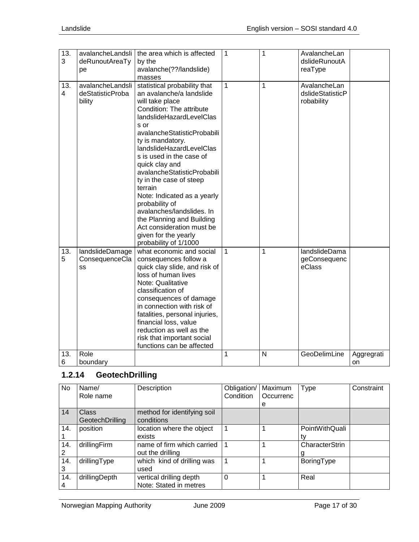| 13.            |                  | avalancheLandsli   the area which is affected | 1            | 1 | AvalancheLan     |            |
|----------------|------------------|-----------------------------------------------|--------------|---|------------------|------------|
| 3              | deRunoutAreaTy   | by the                                        |              |   | dslideRunoutA    |            |
|                | pe               | avalanche(??/landslide)                       |              |   | reaType          |            |
|                |                  | masses                                        |              |   |                  |            |
| 13.            | avalancheLandsli | statistical probability that                  | 1            | 1 | AvalancheLan     |            |
| $\overline{4}$ | deStatisticProba | an avalanche/a landslide                      |              |   | dslideStatisticP |            |
|                | bility           | will take place                               |              |   | robability       |            |
|                |                  | Condition: The attribute                      |              |   |                  |            |
|                |                  | landslideHazardLevelClas                      |              |   |                  |            |
|                |                  | s or                                          |              |   |                  |            |
|                |                  | avalancheStatisticProbabili                   |              |   |                  |            |
|                |                  |                                               |              |   |                  |            |
|                |                  | ty is mandatory.                              |              |   |                  |            |
|                |                  | landslideHazardLevelClas                      |              |   |                  |            |
|                |                  | s is used in the case of                      |              |   |                  |            |
|                |                  | quick clay and                                |              |   |                  |            |
|                |                  | avalancheStatisticProbabili                   |              |   |                  |            |
|                |                  | ty in the case of steep                       |              |   |                  |            |
|                |                  | terrain                                       |              |   |                  |            |
|                |                  | Note: Indicated as a yearly                   |              |   |                  |            |
|                |                  | probability of                                |              |   |                  |            |
|                |                  | avalanches/landslides. In                     |              |   |                  |            |
|                |                  | the Planning and Building                     |              |   |                  |            |
|                |                  | Act consideration must be                     |              |   |                  |            |
|                |                  | given for the yearly                          |              |   |                  |            |
|                |                  | probability of 1/1000                         |              |   |                  |            |
| 13.            | landslideDamage  | what economic and social                      | $\mathbf{1}$ | 1 | landslideDama    |            |
| 5              | ConsequenceCla   | consequences follow a                         |              |   | geConsequenc     |            |
|                | SS               | quick clay slide, and risk of                 |              |   | eClass           |            |
|                |                  | loss of human lives                           |              |   |                  |            |
|                |                  | Note: Qualitative                             |              |   |                  |            |
|                |                  |                                               |              |   |                  |            |
|                |                  | classification of                             |              |   |                  |            |
|                |                  | consequences of damage                        |              |   |                  |            |
|                |                  | in connection with risk of                    |              |   |                  |            |
|                |                  | fatalities, personal injuries,                |              |   |                  |            |
|                |                  | financial loss, value                         |              |   |                  |            |
|                |                  | reduction as well as the                      |              |   |                  |            |
|                |                  | risk that important social                    |              |   |                  |            |
|                |                  | functions can be affected                     |              |   |                  |            |
| 13.            | Role             |                                               | 1            | N | GeoDelimLine     | Aggregrati |
| 6              | boundary         |                                               |              |   |                  | on         |

# <span id="page-16-0"></span>**1.2.14 GeotechDrilling**

| <b>No</b> | Name/           | Description                 | Obligation/ | Maximum   | Type           | Constraint |
|-----------|-----------------|-----------------------------|-------------|-----------|----------------|------------|
|           | Role name       |                             | Condition   | Occurrenc |                |            |
|           |                 |                             |             | е         |                |            |
| 14        | <b>Class</b>    | method for identifying soil |             |           |                |            |
|           | GeotechDrilling | conditions                  |             |           |                |            |
| 14.       | position        | location where the object   |             |           | PointWithQuali |            |
|           |                 | exists                      |             |           |                |            |
| 14.       | drillingFirm    | name of firm which carried  |             |           | CharacterStrin |            |
|           |                 | out the drilling            |             |           |                |            |
| 14.       | drillingType    | which kind of drilling was  |             |           | BoringType     |            |
| 3         |                 | used                        |             |           |                |            |
| 14.       | drillingDepth   | vertical drilling depth     | $\Omega$    |           | Real           |            |
|           |                 | Note: Stated in metres      |             |           |                |            |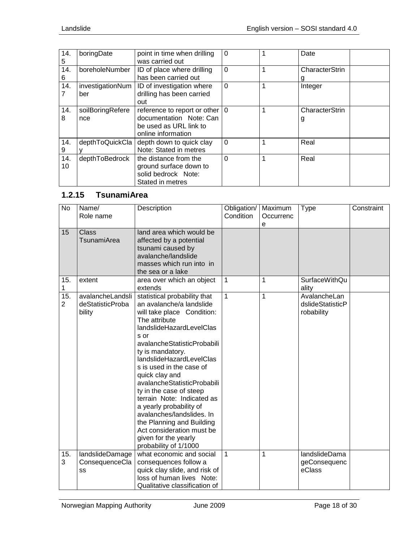| 14.<br>5  | boringDate              | point in time when drilling<br>was carried out                                                                      | $\Omega$    |   | Date                |
|-----------|-------------------------|---------------------------------------------------------------------------------------------------------------------|-------------|---|---------------------|
| 14.<br>6  | boreholeNumber          | ID of place where drilling<br>has been carried out                                                                  | $\Omega$    | 1 | CharacterStrin      |
| 14.       | investigationNum<br>ber | ID of investigation where<br>drilling has been carried<br>out                                                       | $\Omega$    | 1 | Integer             |
| 14.<br>8  | soilBoringRefere<br>nce | reference to report or other $ 0\rangle$<br>documentation Note: Can<br>be used as URL link to<br>online information |             |   | CharacterStrin<br>g |
| 14.<br>9  | depthToQuickCla         | depth down to quick clay<br>Note: Stated in metres                                                                  | $\Omega$    | 1 | Real                |
| 14.<br>10 | depthToBedrock          | the distance from the<br>ground surface down to<br>solid bedrock Note:<br>Stated in metres                          | $\mathbf 0$ | 1 | Real                |

# <span id="page-17-0"></span>**1.2.15 TsunamiArea**

| <b>No</b>             | Name/<br>Role name                             | Description                                                                                                                                                                                                                                                                                                                                                                                                                                                                                                                           | Obligation/<br>Condition | Maximum<br>Occurrenc | <b>Type</b>                                    | Constraint |
|-----------------------|------------------------------------------------|---------------------------------------------------------------------------------------------------------------------------------------------------------------------------------------------------------------------------------------------------------------------------------------------------------------------------------------------------------------------------------------------------------------------------------------------------------------------------------------------------------------------------------------|--------------------------|----------------------|------------------------------------------------|------------|
| 15                    | <b>Class</b><br>TsunamiArea                    | land area which would be<br>affected by a potential<br>tsunami caused by<br>avalanche/landslide<br>masses which run into in<br>the sea or a lake                                                                                                                                                                                                                                                                                                                                                                                      |                          | е                    |                                                |            |
| 15.<br>1              | extent                                         | area over which an object<br>extends                                                                                                                                                                                                                                                                                                                                                                                                                                                                                                  | 1                        | 1                    | <b>SurfaceWithQu</b><br>ality                  |            |
| 15.<br>$\overline{2}$ | avalancheLandsli<br>deStatisticProba<br>bility | statistical probability that<br>an avalanche/a landslide<br>will take place Condition:<br>The attribute<br>landslideHazardLevelClas<br>$s$ or<br>avalancheStatisticProbabili<br>ty is mandatory.<br>landslideHazardLevelClas<br>s is used in the case of<br>quick clay and<br>avalancheStatisticProbabili<br>ty in the case of steep<br>terrain Note: Indicated as<br>a yearly probability of<br>avalanches/landslides. In<br>the Planning and Building<br>Act consideration must be<br>given for the yearly<br>probability of 1/1000 | 1                        | 1                    | AvalancheLan<br>dslideStatisticP<br>robability |            |
| 15.                   | landslideDamage                                | what economic and social                                                                                                                                                                                                                                                                                                                                                                                                                                                                                                              | 1                        | 1                    | landslideDama                                  |            |
| 3                     | ConsequenceCla<br>SS                           | consequences follow a<br>quick clay slide, and risk of<br>loss of human lives Note:<br>Qualitative classification of                                                                                                                                                                                                                                                                                                                                                                                                                  |                          |                      | geConsequenc<br>eClass                         |            |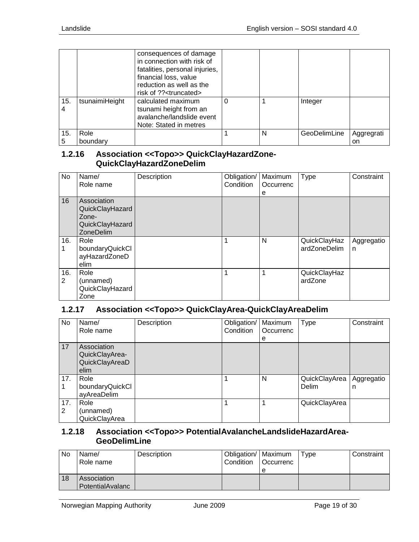|          |                  | consequences of damage<br>in connection with risk of<br>fatalities, personal injuries,<br>financial loss, value<br>reduction as well as the<br>risk of ?? <truncated></truncated> |   |              |                  |
|----------|------------------|-----------------------------------------------------------------------------------------------------------------------------------------------------------------------------------|---|--------------|------------------|
| 15.      | tsunaimiHeight   | calculated maximum<br>tsunami height from an<br>avalanche/landslide event<br>Note: Stated in metres                                                                               |   | Integer      |                  |
| 15.<br>5 | Role<br>boundary |                                                                                                                                                                                   | N | GeoDelimLine | Aggregrati<br>on |

## <span id="page-18-0"></span>**1.2.16 Association <<Topo>> QuickClayHazardZone-QuickClayHazardZoneDelim**

| No       | Name/<br>Role name                                                      | Description | Obligation/<br>Condition | Maximum<br>Occurrenc<br>е | <b>Type</b>                  | Constraint      |
|----------|-------------------------------------------------------------------------|-------------|--------------------------|---------------------------|------------------------------|-----------------|
| 16       | Association<br>QuickClayHazard<br>Zone-<br>QuickClayHazard<br>ZoneDelim |             |                          |                           |                              |                 |
| 16.      | Role<br>boundaryQuickCl<br>ayHazardZoneD<br>elim                        |             | 1                        | N                         | QuickClayHaz<br>ardZoneDelim | Aggregatio<br>n |
| 16.<br>2 | Role<br>(unnamed)<br>QuickClayHazard<br>Zone                            |             | 1                        | 1                         | QuickClayHaz<br>ardZone      |                 |

#### <span id="page-18-1"></span>**1.2.17 Association <<Topo>> QuickClayArea-QuickClayAreaDelim**

| No.      | Name/<br>Role name                                      | Description | Obligation/<br>Condition | Maximum<br>Occurrenc<br>е | Type                   | Constraint      |
|----------|---------------------------------------------------------|-------------|--------------------------|---------------------------|------------------------|-----------------|
| 17       | Association<br>QuickClayArea-<br>QuickClayAreaD<br>elim |             |                          |                           |                        |                 |
| 17.      | Role<br>boundaryQuickCl<br>ayAreaDelim                  |             | 1                        | N                         | QuickClayArea<br>Delim | Aggregatio<br>n |
| 17.<br>2 | Role<br>(unnamed)<br>QuickClayArea                      |             |                          | 1                         | QuickClayArea          |                 |

#### <span id="page-18-2"></span>**1.2.18 Association <<Topo>> PotentialAvalancheLandslideHazardArea-GeoDelimLine**

| No | Name/<br>Role name | Description | Obligation/   Maximum<br>Condition | l Occurrenc | Type | Constraint |
|----|--------------------|-------------|------------------------------------|-------------|------|------------|
| 18 | Association        |             |                                    | e           |      |            |
|    | PotentialAvalanc   |             |                                    |             |      |            |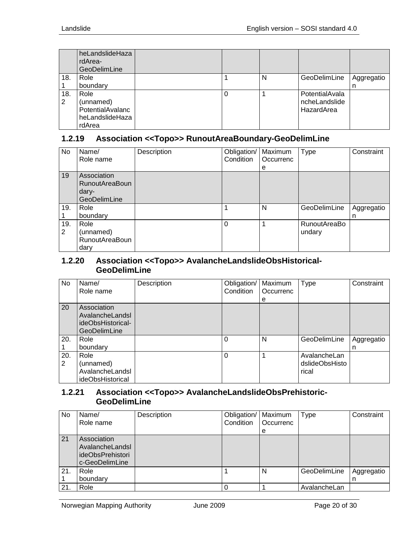|     | heLandslideHaza<br>rdArea-<br>GeoDelimLine |  |   |                |            |
|-----|--------------------------------------------|--|---|----------------|------------|
| 18. | Role                                       |  | N | GeoDelimLine   | Aggregatio |
|     | boundary                                   |  |   |                | n          |
| 18. | Role                                       |  |   | PotentialAvala |            |
| 2   | (unnamed)                                  |  |   | ncheLandslide  |            |
|     | PotentialAvalanc                           |  |   | HazardArea     |            |
|     | heLandslideHaza                            |  |   |                |            |
|     | rdArea                                     |  |   |                |            |

# <span id="page-19-0"></span>**1.2.19 Association <<Topo>> RunoutAreaBoundary-GeoDelimLine**

| <b>No</b> | Name/                 | Description | Obligation/ | Maximum   | <b>Type</b>  | Constraint |
|-----------|-----------------------|-------------|-------------|-----------|--------------|------------|
|           | Role name             |             | Condition   | Occurrenc |              |            |
|           |                       |             |             | е         |              |            |
| 19        | Association           |             |             |           |              |            |
|           | <b>RunoutAreaBoun</b> |             |             |           |              |            |
|           | dary-                 |             |             |           |              |            |
|           | <b>GeoDelimLine</b>   |             |             |           |              |            |
| 19.       | Role                  |             |             | N         | GeoDelimLine | Aggregatio |
|           | boundary              |             |             |           |              | n          |
| 19.       | Role                  |             | 0           |           | RunoutAreaBo |            |
| 2         | (unnamed)             |             |             |           | undary       |            |
|           | <b>RunoutAreaBoun</b> |             |             |           |              |            |
|           | dary                  |             |             |           |              |            |

#### <span id="page-19-1"></span>**1.2.20 Association <<Topo>> AvalancheLandslideObsHistorical-GeoDelimLine**

| No  | Name/               | Description | Obligation/ | Maximum   | Type           | Constraint |
|-----|---------------------|-------------|-------------|-----------|----------------|------------|
|     | Role name           |             | Condition   | Occurrenc |                |            |
|     |                     |             |             | e         |                |            |
| 20  | Association         |             |             |           |                |            |
|     | AvalancheLandsl     |             |             |           |                |            |
|     | ideObsHistorical-   |             |             |           |                |            |
|     | <b>GeoDelimLine</b> |             |             |           |                |            |
| 20. | Role                |             | 0           | N         | GeoDelimLine   | Aggregatio |
|     | boundary            |             |             |           |                | n          |
| 20. | Role                |             | 0           |           | AvalancheLan   |            |
| 2   | (unnamed)           |             |             |           | dslideObsHisto |            |
|     | AvalancheLandsl     |             |             |           | rical          |            |
|     | ideObsHistorical    |             |             |           |                |            |

#### <span id="page-19-2"></span>**1.2.21 Association <<Topo>> AvalancheLandslideObsPrehistoric-GeoDelimLine**

| <b>No</b> | Name/<br>Role name                                                   | Description | Obligation/   Maximum<br>Condition | Occurrenc<br>e | Type         | Constraint      |
|-----------|----------------------------------------------------------------------|-------------|------------------------------------|----------------|--------------|-----------------|
| 21        | Association<br>AvalancheLandsl<br>ideObsPrehistori<br>c-GeoDelimLine |             |                                    |                |              |                 |
| 21.       | Role<br>boundary                                                     |             |                                    | N              | GeoDelimLine | Aggregatio<br>n |
| 21.       | Role                                                                 |             |                                    |                | AvalancheLan |                 |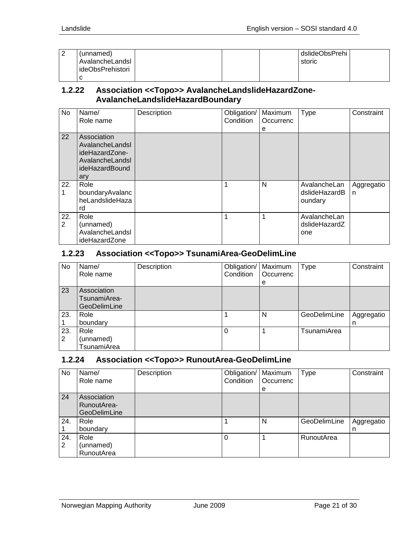| (unnamed)        |  | dslideObsPrehi |  |
|------------------|--|----------------|--|
| AvalancheLandsl  |  | storic         |  |
| ideObsPrehistori |  |                |  |
|                  |  |                |  |

#### <span id="page-20-0"></span>**1.2.22 Association <<Topo>> AvalancheLandslideHazardZone-AvalancheLandslideHazardBoundary**

| No                    | Name/<br>Role name                                                                           | Description | Obligation/<br>Condition | Maximum<br>Occurrenc<br>е | <b>Type</b>                              | Constraint      |
|-----------------------|----------------------------------------------------------------------------------------------|-------------|--------------------------|---------------------------|------------------------------------------|-----------------|
| 22                    | Association<br>AvalancheLandsl<br>ideHazardZone-<br>AvalancheLandsl<br>ideHazardBound<br>ary |             |                          |                           |                                          |                 |
| 22.<br>1              | Role<br>boundaryAvalanc<br>heLandslideHaza<br>rd                                             |             |                          | N                         | AvalancheLan<br>dslideHazardB<br>oundary | Aggregatio<br>n |
| 22.<br>$\overline{2}$ | Role<br>(unnamed)<br>AvalancheLandsl<br>ideHazardZone                                        |             |                          |                           | AvalancheLan<br>dslideHazardZ<br>one     |                 |

## <span id="page-20-1"></span>**1.2.23 Association <<Topo>> TsunamiArea-GeoDelimLine**

| No       | Name/<br>Role name                          | Description | Obligation/   Maximum<br>Condition | <b>Occurrenc</b><br>e | <b>Type</b>  | Constraint      |
|----------|---------------------------------------------|-------------|------------------------------------|-----------------------|--------------|-----------------|
| 23       | Association<br>TsunamiArea-<br>GeoDelimLine |             |                                    |                       |              |                 |
| 23.      | Role<br>boundary                            |             |                                    | N                     | GeoDelimLine | Aggregatio<br>n |
| 23.<br>2 | Role<br>(unnamed)<br>TsunamiArea            |             | $\Omega$                           |                       | TsunamiArea  |                 |

## <span id="page-20-2"></span>**1.2.24 Association <<Topo>> RunoutArea-GeoDelimLine**

| No       | Name/<br>Role name                         | Description | Obligation/<br>Condition | Maximum<br>Occurrenc<br>e | <b>Type</b>       | Constraint      |
|----------|--------------------------------------------|-------------|--------------------------|---------------------------|-------------------|-----------------|
| 24       | Association<br>RunoutArea-<br>GeoDelimLine |             |                          |                           |                   |                 |
| 24.      | Role<br>boundary                           |             |                          | N                         | GeoDelimLine      | Aggregatio<br>n |
| 24.<br>2 | Role<br>(unnamed)<br>RunoutArea            |             | 0                        |                           | <b>RunoutArea</b> |                 |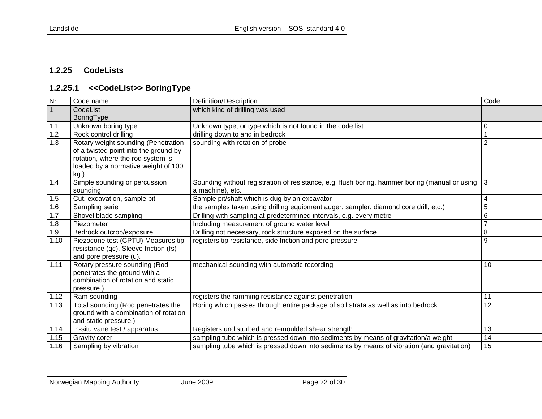# **1.2.25 CodeLists**

# **1.2.25.1 <<CodeList>> BoringType**

<span id="page-21-1"></span><span id="page-21-0"></span>

| Nr             | Code name                             | Definition/Description                                                                             | Code           |
|----------------|---------------------------------------|----------------------------------------------------------------------------------------------------|----------------|
| $\overline{1}$ | CodeList                              | which kind of drilling was used                                                                    |                |
|                | BoringType                            |                                                                                                    |                |
| $1.1$          | Unknown boring type                   | Unknown type, or type which is not found in the code list                                          | 0              |
| 1.2            | Rock control drilling                 | drilling down to and in bedrock                                                                    |                |
| 1.3            | Rotary weight sounding (Penetration   | sounding with rotation of probe                                                                    | $\overline{2}$ |
|                | of a twisted point into the ground by |                                                                                                    |                |
|                | rotation, where the rod system is     |                                                                                                    |                |
|                | loaded by a normative weight of 100   |                                                                                                    |                |
|                | kg.                                   |                                                                                                    |                |
| 1.4            | Simple sounding or percussion         | Sounding without registration of resistance, e.g. flush boring, hammer boring (manual or using   3 |                |
|                | sounding                              | a machine), etc.                                                                                   |                |
| 1.5            | Cut, excavation, sample pit           | Sample pit/shaft which is dug by an excavator                                                      | 4              |
| 1.6            | Sampling serie                        | the samples taken using drilling equipment auger, sampler, diamond core drill, etc.)               | 5              |
| 1.7            | Shovel blade sampling                 | Drilling with sampling at predetermined intervals, e.g. every metre                                | 6              |
| 1.8            | Piezometer                            | Including measurement of ground water level                                                        | $\overline{7}$ |
| 1.9            | Bedrock outcrop/exposure              | Drilling not necessary, rock structure exposed on the surface                                      | 8              |
| 1.10           | Piezocone test (CPTU) Measures tip    | registers tip resistance, side friction and pore pressure                                          | 9              |
|                | resistance (qc), Sleeve friction (fs) |                                                                                                    |                |
|                | and pore pressure (u).                |                                                                                                    |                |
| 1.11           | Rotary pressure sounding (Rod         | mechanical sounding with automatic recording                                                       | 10             |
|                | penetrates the ground with a          |                                                                                                    |                |
|                | combination of rotation and static    |                                                                                                    |                |
|                | pressure.)                            |                                                                                                    |                |
| 1.12           | Ram sounding                          | registers the ramming resistance against penetration                                               | 11             |
| 1.13           | Total sounding (Rod penetrates the    | Boring which passes through entire package of soil strata as well as into bedrock                  | 12             |
|                | ground with a combination of rotation |                                                                                                    |                |
|                | and static pressure.)                 |                                                                                                    |                |
| 1.14           | In-situ vane test / apparatus         | Registers undisturbed and remoulded shear strength                                                 | 13             |
| 1.15           | <b>Gravity corer</b>                  | sampling tube which is pressed down into sediments by means of gravitation/a weight                | 14             |
| 1.16           | Sampling by vibration                 | sampling tube which is pressed down into sediments by means of vibration (and gravitation)         | 15             |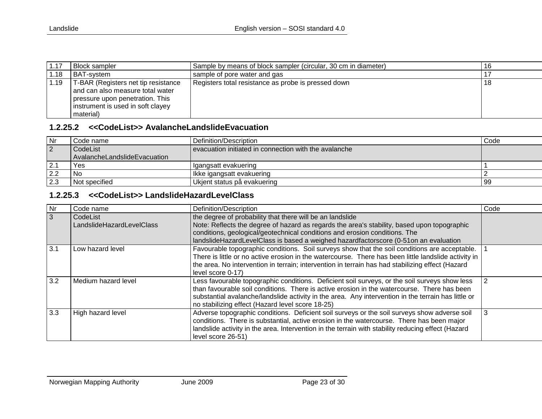| 1.17 | <b>Block sampler</b>                                                                                                                                         | Sample by means of block sampler (circular, 30 cm in diameter) |    |
|------|--------------------------------------------------------------------------------------------------------------------------------------------------------------|----------------------------------------------------------------|----|
| 1.18 | I BAT-svstem                                                                                                                                                 | sample of pore water and gas                                   |    |
| 1.19 | T-BAR (Registers net tip resistance<br>and can also measure total water<br>pressure upon penetration. This<br>instrument is used in soft clayey<br>material) | Registers total resistance as probe is pressed down            | 18 |

### **1.2.25.2 <<CodeList>> AvalancheLandslideEvacuation**

| Nr             | Code name                    | l Definition/Description_                             | Code |
|----------------|------------------------------|-------------------------------------------------------|------|
| $\overline{2}$ | CodeList                     | evacuation initiated in connection with the avalanche |      |
|                | AvalancheLandslideEvacuation |                                                       |      |
| 2.1            | Yes                          | Igangsatt evakuering                                  |      |
|                | l No                         | Ikke igangsatt evakuering                             |      |
| 2.3            | l Not specified              | Ukjent status på evakuering                           | -99  |

# **1.2.25.3 <<CodeList>> LandslideHazardLevelClass**

<span id="page-22-1"></span><span id="page-22-0"></span>

| Nr  | Code name                             | Definition/Description                                                                                                                                                                                                                                                                                                                                  | Code |
|-----|---------------------------------------|---------------------------------------------------------------------------------------------------------------------------------------------------------------------------------------------------------------------------------------------------------------------------------------------------------------------------------------------------------|------|
| 3   | CodeList<br>LandslideHazardLevelClass | the degree of probability that there will be an landslide<br>Note: Reflects the degree of hazard as regards the area's stability, based upon topographic<br>conditions, geological/geotechnical conditions and erosion conditions. The<br>landslideHazardLevelClass is based a weighed hazardfactorscore (0-51on an evaluation                          |      |
| 3.1 | Low hazard level                      | Favourable topographic conditions. Soil surveys show that the soil conditions are acceptable.<br>There is little or no active erosion in the watercourse. There has been little landslide activity in<br>the area. No intervention in terrain; intervention in terrain has had stabilizing effect (Hazard<br>level score 0-17)                          |      |
| 3.2 | Medium hazard level                   | Less favourable topographic conditions. Deficient soil surveys, or the soil surveys show less<br>than favourable soil conditions. There is active erosion in the watercourse. There has been<br>substantial avalanche/landslide activity in the area. Any intervention in the terrain has little or<br>no stabilizing effect (Hazard level score 18-25) | 2    |
| 3.3 | High hazard level                     | Adverse topographic conditions. Deficient soil surveys or the soil surveys show adverse soil<br>conditions. There is substantial, active erosion in the watercourse. There has been major<br>landslide activity in the area. Intervention in the terrain with stability reducing effect (Hazard<br>level score 26-51)                                   | 3    |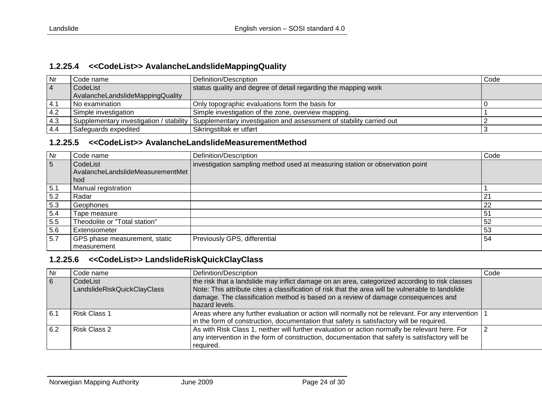#### **1.2.25.4 <<CodeList>> AvalancheLandslideMappingQuality**

| <b>Nr</b>      | Code name                        | Definition/Description                                                                                        | Code |
|----------------|----------------------------------|---------------------------------------------------------------------------------------------------------------|------|
| $\overline{4}$ | CodeList                         | status quality and degree of detail regarding the mapping work                                                |      |
|                | AvalancheLandslideMappingQuality |                                                                                                               |      |
| 4.1            | l No examination                 | Only topographic evaluations form the basis for                                                               |      |
| 4.2            | Simple investigation             | Simple investigation of the zone, overview mapping.                                                           |      |
| 4.3            |                                  | Supplementary investigation / stability   Supplementary investigation and assessment of stability carried out |      |
| 4.4            | Safeguards expedited             | Sikringstiltak er utført                                                                                      |      |

#### **1.2.25.5 <<CodeList>> AvalancheLandslideMeasurementMethod**

<span id="page-23-0"></span>

| Nr  | Code name                        | Definition/Description                                                       | Code |
|-----|----------------------------------|------------------------------------------------------------------------------|------|
| 5   | CodeList                         | investigation sampling method used at measuring station or observation point |      |
|     | AvalancheLandslideMeasurementMet |                                                                              |      |
|     | hod                              |                                                                              |      |
| 5.1 | Manual registration              |                                                                              |      |
| 5.2 | Radar                            |                                                                              | 21   |
| 5.3 | Geophones                        |                                                                              | 22   |
| 5.4 | Tape measure                     |                                                                              | 51   |
| 5.5 | Theodolite or "Total station"    |                                                                              | 52   |
| 5.6 | Extensiometer                    |                                                                              | 53   |
| 5.7 | GPS phase measurement, static    | Previously GPS, differential                                                 | 54   |
|     | measurement                      |                                                                              |      |

### <span id="page-23-1"></span>**1.2.25.6 <<CodeList>> LandslideRiskQuickClayClass**

<span id="page-23-2"></span>

| <b>Nr</b>      | Code name                               | Definition/Description                                                                                                                                                                                                                                                                                     | Code |
|----------------|-----------------------------------------|------------------------------------------------------------------------------------------------------------------------------------------------------------------------------------------------------------------------------------------------------------------------------------------------------------|------|
| $\overline{6}$ | CodeList<br>LandslideRiskQuickClayClass | the risk that a landslide may inflict damage on an area, categorized according to risk classes<br>Note: This attribute cites a classification of risk that the area will be vulnerable to landslide<br>damage. The classification method is based on a review of damage consequences and<br>hazard levels. |      |
| 6.1            | <b>Risk Class 1</b>                     | Areas where any further evaluation or action will normally not be relevant. For any intervention   1<br>in the form of construction, documentation that safety is satisfactory will be required.                                                                                                           |      |
| 6.2            | Risk Class 2                            | As with Risk Class 1, neither will further evaluation or action normally be relevant here. For<br>any intervention in the form of construction, documentation that safety is satisfactory will be<br>required.                                                                                             |      |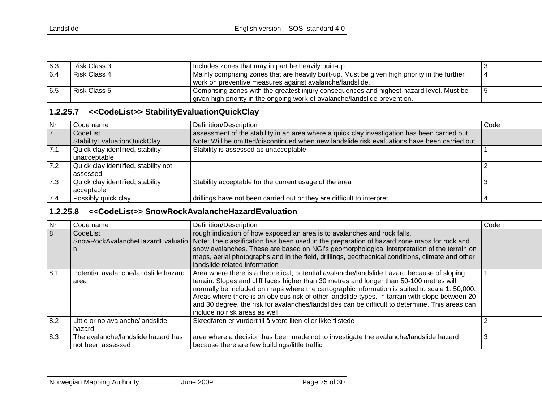| 6.3  | Risk Class 3 | Includes zones that may in part be heavily built-up.                                          |  |
|------|--------------|-----------------------------------------------------------------------------------------------|--|
| 6.4  | Risk Class 4 | Mainly comprising zones that are heavily built-up. Must be given high priority in the further |  |
|      |              | work on preventive measures against avalanche/landslide.                                      |  |
| 16.5 | Risk Class 5 | I Comprising zones with the greatest injury consequences and highest hazard level. Must be    |  |
|      |              | I given high priority in the ongoing work of avalanche/landslide prevention.                  |  |

## **1.2.25.7 <<CodeList>> StabilityEvaluationQuickClay**

| $\overline{\mathsf{Nr}}$ | I Code name                                      | Definition/Description                                                                       | Code |
|--------------------------|--------------------------------------------------|----------------------------------------------------------------------------------------------|------|
| $\overline{7}$           | CodeList                                         | assessment of the stability in an area where a quick clay investigation has been carried out |      |
|                          | Stability Evaluation Quick Clay                  | Note: Will be omitted/discontinued when new landslide risk evaluations have been carried out |      |
| 7.1                      | Quick clay identified, stability<br>unacceptable | Stability is assessed as unacceptable                                                        |      |
| 7.2                      | Quick clay identified, stability not<br>assessed |                                                                                              |      |
| 7.3                      | Quick clay identified, stability<br>acceptable   | Stability acceptable for the current usage of the area                                       |      |
| 7.4                      | Possibly quick clay                              | drillings have not been carried out or they are difficult to interpret                       |      |

### **1.2.25.8 <<CodeList>> SnowRockAvalancheHazardEvaluation**

<span id="page-24-1"></span><span id="page-24-0"></span>

| Nr  | Code name                                               | Definition/Description                                                                                                                                                                                                                                                                                                                                                                                                                                                                                                         | Code |
|-----|---------------------------------------------------------|--------------------------------------------------------------------------------------------------------------------------------------------------------------------------------------------------------------------------------------------------------------------------------------------------------------------------------------------------------------------------------------------------------------------------------------------------------------------------------------------------------------------------------|------|
| 8   | CodeList                                                | rough indication of how exposed an area is to avalanches and rock falls.<br>SnowRockAvalancheHazardEvaluatio   Note: The classification has been used in the preparation of hazard zone maps for rock and<br>snow avalanches. These are based on NGI's geomorphological interpretation of the terrain on<br>maps, aerial photographs and in the field, drillings, geothecnical conditions, climate and other<br>landslide related information                                                                                  |      |
| 8.1 | Potential avalanche/landslide hazard<br>area            | Area where there is a theoretical, potential avalanche/landslide hazard because of sloping<br>terrain. Slopes and cliff faces higher than 30 metres and longer than 50-100 metres will<br>normally be included on maps where the cartographic information is suited to scale 1: 50,000.<br>Areas where there is an obvious risk of other landslide types. In tarrain with slope between 20<br>and 30 degree, the risk for avalanches/landslides can be difficult to determine. This areas can<br>include no risk areas as well |      |
| 8.2 | Little or no avalanche/landslide<br>hazard              | Skredfaren er vurdert til å være liten eller ikke tilstede                                                                                                                                                                                                                                                                                                                                                                                                                                                                     |      |
| 8.3 | The avalanche/landslide hazard has<br>not been assessed | area where a decision has been made not to investigate the avalanche/landslide hazard<br>because there are few buildings/little traffic                                                                                                                                                                                                                                                                                                                                                                                        | Э    |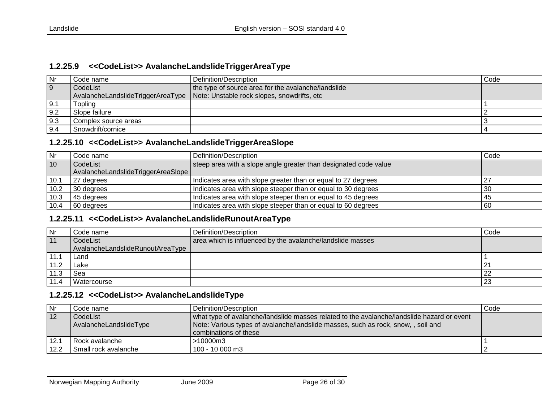#### **1.2.25.9 <<CodeList>> AvalancheLandslideTriggerAreaType**

| <b>Nr</b>   | Code name i          | Definition/Description                                                          | Code |
|-------------|----------------------|---------------------------------------------------------------------------------|------|
| 9           | CodeList             | the type of source area for the avalanche/landslide                             |      |
|             |                      | AvalancheLandslideTriggerAreaType   Note: Unstable rock slopes, snowdrifts, etc |      |
| $\vert 9.1$ | Toplina              |                                                                                 |      |
| 9.2         | Slope failure        |                                                                                 |      |
| 9.3         | Complex source areas |                                                                                 |      |
| 9.4         | Snowdrift/cornice    |                                                                                 |      |

#### **1.2.25.10 <<CodeList>> AvalancheLandslideTriggerAreaSlope**

| l Nr            | Code name                          | Definition/Description                                           | Code |
|-----------------|------------------------------------|------------------------------------------------------------------|------|
| $\overline{10}$ | CodeList                           | steep area with a slope angle greater than designated code value |      |
|                 | AvalancheLandslideTriggerAreaSlope |                                                                  |      |
| 10.1            | 27 degrees                         | Indicates area with slope greater than or equal to 27 degrees    | ∠    |
| 10.2            | 30 degrees                         | Indicates area with slope steeper than or equal to 30 degrees    | 30   |
| 10.3            | 45 degrees                         | Indicates area with slope steeper than or equal to 45 degrees    | 45   |
| 10.4            | 60 degrees                         | Indicates area with slope steeper than or equal to 60 degrees    | l 60 |

## <span id="page-25-0"></span>**1.2.25.11 <<CodeList>> AvalancheLandslideRunoutAreaType**

<span id="page-25-1"></span>

| $\mathsf{N}$ r | Code name                        | Definition/Description                                     | Code        |
|----------------|----------------------------------|------------------------------------------------------------|-------------|
| 11             | CodeList                         | area which is influenced by the avalanche/landslide masses |             |
|                | AvalancheLandslideRunoutAreaType |                                                            |             |
| 11.1           | Land                             |                                                            |             |
| 11.2           | Lake                             |                                                            | $2^{\cdot}$ |
| 11.3           | Sea                              |                                                            |             |
|                | Watercourse                      |                                                            | 23          |

#### **1.2.25.12 <<CodeList>> AvalancheLandslideType**

<span id="page-25-3"></span><span id="page-25-2"></span>

| Nr   | Code name                          | Definition/Description                                                                                                                                                                                  | Code |
|------|------------------------------------|---------------------------------------------------------------------------------------------------------------------------------------------------------------------------------------------------------|------|
| 12   | CodeList<br>AvalancheLandslideType | what type of avalanche/landslide masses related to the avalanche/landslide hazard or event<br>Note: Various types of avalanche/landslide masses, such as rock, snow,, soil and<br>combinations of these |      |
| 12.1 | l Rock avalanche                   | $>10000 \text{m}$ 3                                                                                                                                                                                     |      |
| 12.2 | Small rock avalanche               | 100 - 10 000 m3                                                                                                                                                                                         |      |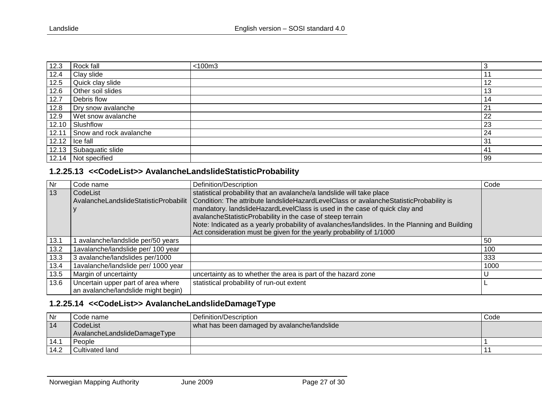| 12.3  | Rock fall               | $<$ 100 $m3$ |    |
|-------|-------------------------|--------------|----|
| 12.4  | Clay slide              |              |    |
| 12.5  | Quick clay slide        |              | 12 |
| 12.6  | Other soil slides       |              | 13 |
| 12.7  | Debris flow             |              | 14 |
| 12.8  | Dry snow avalanche      |              | 21 |
| 12.9  | Wet snow avalanche      |              | 22 |
| 12.10 | Slushflow               |              | 23 |
| 12.11 | Snow and rock avalanche |              | 24 |
|       | $12.12$ $ $ Ice fall    |              | 31 |
| 12.13 | Subaquatic slide        |              | 41 |
| 12.14 | Not specified           |              | 99 |

## **1.2.25.13 <<CodeList>> AvalancheLandslideStatisticProbability**

| Nr           | Code name                           | Definition/Description                                                                                                         | Code |
|--------------|-------------------------------------|--------------------------------------------------------------------------------------------------------------------------------|------|
| $ 13\rangle$ | CodeList                            | statistical probability that an avalanche/a landslide will take place                                                          |      |
|              |                                     | AvalancheLandslideStatisticProbabilit   Condition: The attribute landslideHazardLevelClass or avalancheStatisticProbability is |      |
|              |                                     | mandatory. landslideHazardLevelClass is used in the case of quick clay and                                                     |      |
|              |                                     | avalancheStatisticProbability in the case of steep terrain                                                                     |      |
|              |                                     | Note: Indicated as a yearly probability of avalanches/landslides. In the Planning and Building                                 |      |
|              |                                     | Act consideration must be given for the yearly probability of 1/1000                                                           |      |
| 13.1         | avalanche/landslide per/50 years    |                                                                                                                                | 50   |
| 13.2         | 1avalanche/landslide per/ 100 year  |                                                                                                                                | 100  |
| 13.3         | 3 avalanche/landslides per/1000     |                                                                                                                                | 333  |
| 13.4         | 1avalanche/landslide per/ 1000 year |                                                                                                                                | 1000 |
| 13.5         | Margin of uncertainty               | uncertainty as to whether the area is part of the hazard zone                                                                  |      |
| 13.6         | Uncertain upper part of area where  | statistical probability of run-out extent                                                                                      |      |
|              | an avalanche/landslide might begin) |                                                                                                                                |      |

# <span id="page-26-0"></span>**1.2.25.14 <<CodeList>> AvalancheLandslideDamageType**

<span id="page-26-1"></span>

| Nr   | Code name                    | Definition/Description                       | Code |
|------|------------------------------|----------------------------------------------|------|
| 14   | CodeList                     | what has been damaged by avalanche/landslide |      |
|      | AvalancheLandslideDamageType |                                              |      |
| 14.7 | People                       |                                              |      |
| 14.2 | Cultivated land              |                                              |      |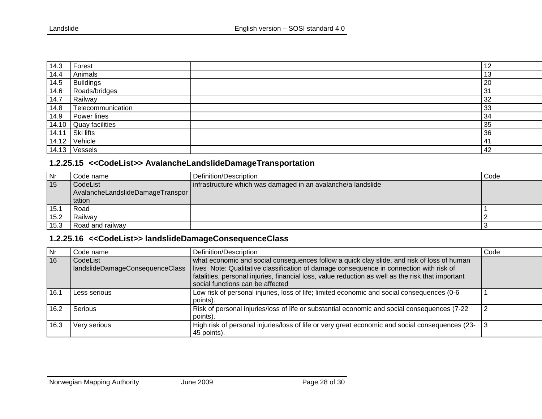| 14.3  | Forest            | 12           |
|-------|-------------------|--------------|
| 14.4  | Animals           | - 1 2<br>ں ا |
| 14.5  | Buildings         | 20           |
| 14.6  | Roads/bridges     | 31           |
| 14.7  | Railway           | 32           |
| 14.8  | Telecommunication | 33           |
| 14.9  | Power lines       | 34           |
| 14.10 | Quay facilities   | 35           |
| 14.11 | Ski lifts         | 36           |
| 14.12 | Vehicle           | 41           |
| 14.13 | <b>Vessels</b>    | 42           |

## **1.2.25.15 <<CodeList>> AvalancheLandslideDamageTransportation**

| Nr               | Code name                        | Definition/Description                                       | Code |
|------------------|----------------------------------|--------------------------------------------------------------|------|
| 15               | CodeList                         | infrastructure which was damaged in an avalanche/a landslide |      |
|                  | AvalancheLandslideDamageTranspor |                                                              |      |
|                  | tation                           |                                                              |      |
| 15. <sup>.</sup> | Road                             |                                                              |      |
| 15.2             | Railway                          |                                                              |      |
| 15.3             | Road and railway                 |                                                              |      |

# **1.2.25.16 <<CodeList>> landslideDamageConsequenceClass**

<span id="page-27-1"></span><span id="page-27-0"></span>

| Nr   | Code name                                   | Definition/Description                                                                                                                                                                                                                                                                                                         | Code |
|------|---------------------------------------------|--------------------------------------------------------------------------------------------------------------------------------------------------------------------------------------------------------------------------------------------------------------------------------------------------------------------------------|------|
| 16   | CodeList<br>landslideDamageConsequenceClass | what economic and social consequences follow a quick clay slide, and risk of loss of human<br>lives Note: Qualitative classification of damage consequence in connection with risk of<br>fatalities, personal injuries, financial loss, value reduction as well as the risk that important<br>social functions can be affected |      |
| 16.1 | Less serious                                | Low risk of personal injuries, loss of life; limited economic and social consequences (0-6<br>points).                                                                                                                                                                                                                         |      |
| 16.2 | Serious                                     | Risk of personal injuries/loss of life or substantial economic and social consequences (7-22<br>points).                                                                                                                                                                                                                       |      |
| 16.3 | Very serious                                | High risk of personal injuries/loss of life or very great economic and social consequences (23-<br>45 points).                                                                                                                                                                                                                 |      |